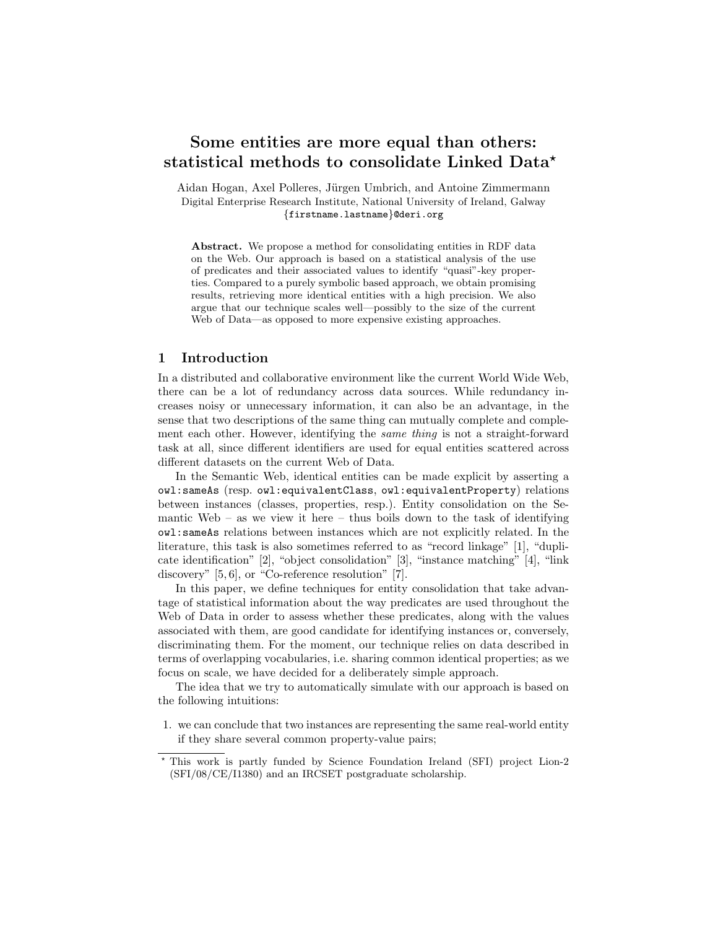# Some entities are more equal than others: statistical methods to consolidate Linked Data\*

Aidan Hogan, Axel Polleres, Jürgen Umbrich, and Antoine Zimmermann Digital Enterprise Research Institute, National University of Ireland, Galway {firstname.lastname}@deri.org

Abstract. We propose a method for consolidating entities in RDF data on the Web. Our approach is based on a statistical analysis of the use of predicates and their associated values to identify "quasi"-key properties. Compared to a purely symbolic based approach, we obtain promising results, retrieving more identical entities with a high precision. We also argue that our technique scales well—possibly to the size of the current Web of Data—as opposed to more expensive existing approaches.

## 1 Introduction

In a distributed and collaborative environment like the current World Wide Web, there can be a lot of redundancy across data sources. While redundancy increases noisy or unnecessary information, it can also be an advantage, in the sense that two descriptions of the same thing can mutually complete and complement each other. However, identifying the same thing is not a straight-forward task at all, since different identifiers are used for equal entities scattered across different datasets on the current Web of Data.

In the Semantic Web, identical entities can be made explicit by asserting a owl:sameAs (resp. owl:equivalentClass, owl:equivalentProperty) relations between instances (classes, properties, resp.). Entity consolidation on the Semantic Web – as we view it here – thus boils down to the task of identifying owl:sameAs relations between instances which are not explicitly related. In the literature, this task is also sometimes referred to as "record linkage" [1], "duplicate identification" [2], "object consolidation" [3], "instance matching" [4], "link discovery" [5, 6], or "Co-reference resolution" [7].

In this paper, we define techniques for entity consolidation that take advantage of statistical information about the way predicates are used throughout the Web of Data in order to assess whether these predicates, along with the values associated with them, are good candidate for identifying instances or, conversely, discriminating them. For the moment, our technique relies on data described in terms of overlapping vocabularies, i.e. sharing common identical properties; as we focus on scale, we have decided for a deliberately simple approach.

The idea that we try to automatically simulate with our approach is based on the following intuitions:

1. we can conclude that two instances are representing the same real-world entity if they share several common property-value pairs;

<sup>?</sup> This work is partly funded by Science Foundation Ireland (SFI) project Lion-2 (SFI/08/CE/I1380) and an IRCSET postgraduate scholarship.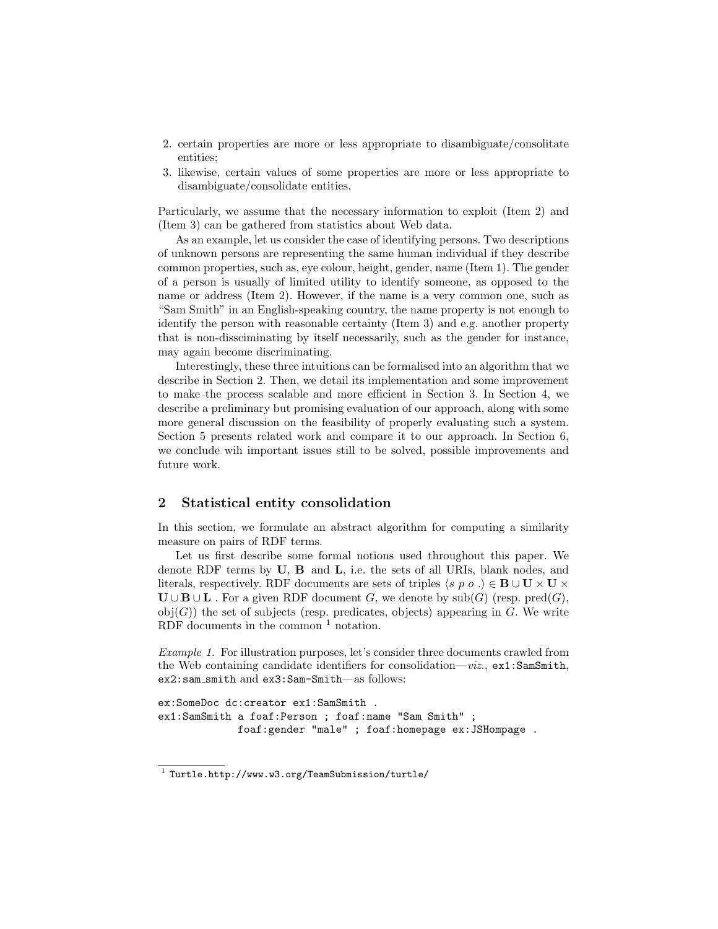- 2. certain properties are more or less appropriate to disambiguate/consolitate entities;
- 3. likewise, certain values of some properties are more or less appropriate to disambiguate/consolidate entities.

Particularly, we assume that the necessary information to exploit (Item 2) and (Item 3) can be gathered from statistics about Web data.

As an example, let us consider the case of identifying persons. Two descriptions of unknown persons are representing the same human individual if they describe common properties, such as, eye colour, height, gender, name (Item 1). The gender of a person is usually of limited utility to identify someone, as opposed to the name or address (Item 2). However, if the name is a very common one, such as "Sam Smith" in an English-speaking country, the name property is not enough to identify the person with reasonable certainty (Item 3) and e.g. another property that is non-dissciminating by itself necessarily, such as the gender for instance, may again become discriminating.

Interestingly, these three intuitions can be formalised into an algorithm that we describe in Section 2. Then, we detail its implementation and some improvement to make the process scalable and more efficient in Section 3. In Section 4, we describe a preliminary but promising evaluation of our approach, along with some more general discussion on the feasibility of properly evaluating such a system. Section 5 presents related work and compare it to our approach. In Section 6, we conclude wih important issues still to be solved, possible improvements and future work.

# 2 Statistical entity consolidation

In this section, we formulate an abstract algorithm for computing a similarity measure on pairs of RDF terms.

Let us first describe some formal notions used throughout this paper. We denote RDF terms by  $\bf{U}, \bf{B}$  and  $\bf{L}, i.e.$  the sets of all URIs, blank nodes, and literals, respectively. RDF documents are sets of triples  $\langle s, p \rangle$  o  $\cdot \rangle \in \mathbf{B} \cup \mathbf{U} \times \mathbf{U} \times \mathbf{U}$  $\mathbf{U} \cup \mathbf{B} \cup \mathbf{L}$ . For a given RDF document G, we denote by  $\text{sub}(G)$  (resp.  $\text{pred}(G)$ ,  $obj(G)$ ) the set of subjects (resp. predicates, objects) appearing in G. We write RDF documents in the common  $<sup>1</sup>$  notation.</sup>

Example 1. For illustration purposes, let's consider three documents crawled from the Web containing candidate identifiers for consolidation— $viz$ ,  $ex1:SamSmith$ , ex2:sam smith and ex3:Sam-Smith—as follows:

```
ex:SomeDoc dc:creator ex1:SamSmith .
ex1:SamSmith a foaf:Person ; foaf:name "Sam Smith" ;
             foaf:gender "male" ; foaf:homepage ex:JSHompage .
```
<sup>1</sup> Turtle.http://www.w3.org/TeamSubmission/turtle/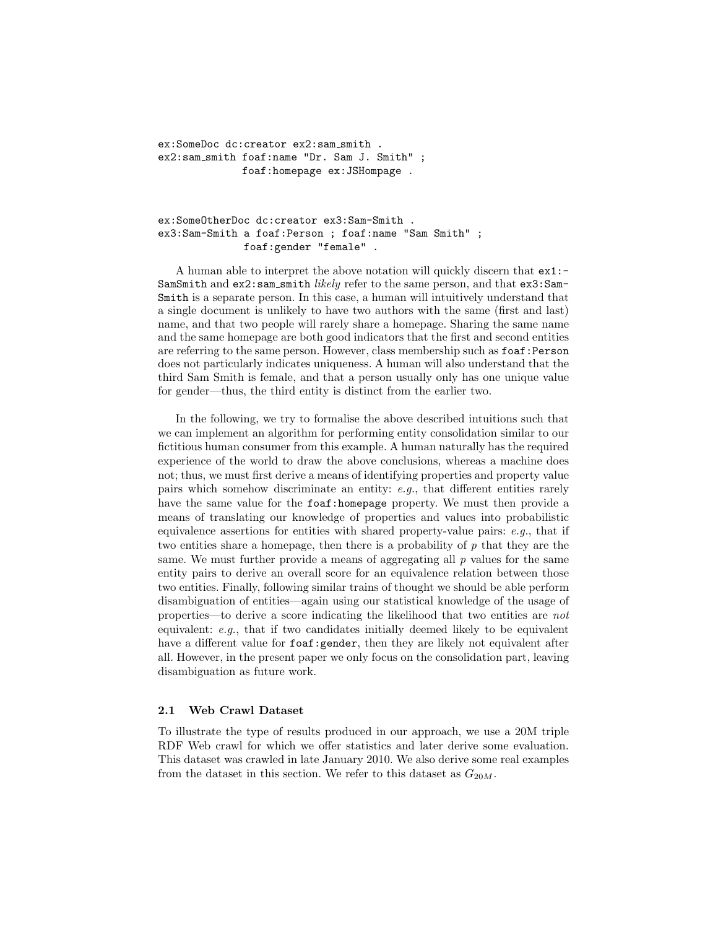ex:SomeDoc dc:creator ex2:sam\_smith . ex2:sam smith foaf:name "Dr. Sam J. Smith" ; foaf:homepage ex:JSHompage .

ex:SomeOtherDoc dc:creator ex3:Sam-Smith . ex3:Sam-Smith a foaf:Person ; foaf:name "Sam Smith" ; foaf:gender "female" .

A human able to interpret the above notation will quickly discern that ex1:- SamSmith and  $ex2$ :sam\_smith *likely* refer to the same person, and that  $ex3:Sam-$ Smith is a separate person. In this case, a human will intuitively understand that a single document is unlikely to have two authors with the same (first and last) name, and that two people will rarely share a homepage. Sharing the same name and the same homepage are both good indicators that the first and second entities are referring to the same person. However, class membership such as foaf:Person does not particularly indicates uniqueness. A human will also understand that the third Sam Smith is female, and that a person usually only has one unique value for gender—thus, the third entity is distinct from the earlier two.

In the following, we try to formalise the above described intuitions such that we can implement an algorithm for performing entity consolidation similar to our fictitious human consumer from this example. A human naturally has the required experience of the world to draw the above conclusions, whereas a machine does not; thus, we must first derive a means of identifying properties and property value pairs which somehow discriminate an entity:  $e.g.,$  that different entities rarely have the same value for the foaf:homepage property. We must then provide a means of translating our knowledge of properties and values into probabilistic equivalence assertions for entities with shared property-value pairs:  $e.g.,$  that if two entities share a homepage, then there is a probability of  $p$  that they are the same. We must further provide a means of aggregating all  $p$  values for the same entity pairs to derive an overall score for an equivalence relation between those two entities. Finally, following similar trains of thought we should be able perform disambiguation of entities—again using our statistical knowledge of the usage of properties—to derive a score indicating the likelihood that two entities are not equivalent: e.g., that if two candidates initially deemed likely to be equivalent have a different value for foaf:gender, then they are likely not equivalent after all. However, in the present paper we only focus on the consolidation part, leaving disambiguation as future work.

#### 2.1 Web Crawl Dataset

To illustrate the type of results produced in our approach, we use a 20M triple RDF Web crawl for which we offer statistics and later derive some evaluation. This dataset was crawled in late January 2010. We also derive some real examples from the dataset in this section. We refer to this dataset as  $G_{20M}$ .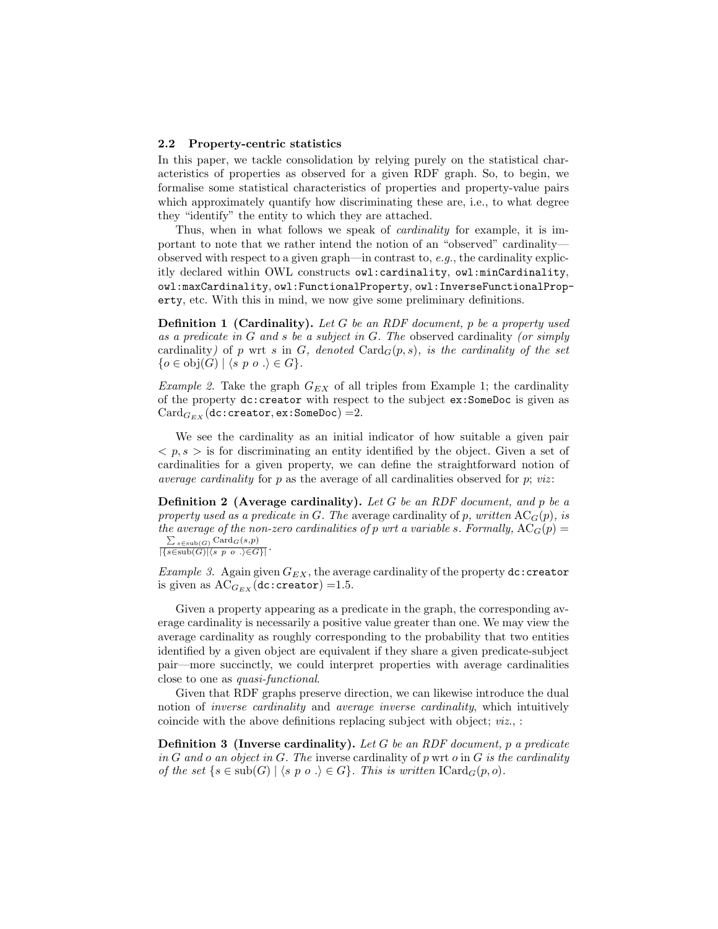#### 2.2 Property-centric statistics

In this paper, we tackle consolidation by relying purely on the statistical characteristics of properties as observed for a given RDF graph. So, to begin, we formalise some statistical characteristics of properties and property-value pairs which approximately quantify how discriminating these are, i.e., to what degree they "identify" the entity to which they are attached.

Thus, when in what follows we speak of *cardinality* for example, it is important to note that we rather intend the notion of an "observed" cardinality observed with respect to a given graph—in contrast to, e.g., the cardinality explicitly declared within OWL constructs owl:cardinality, owl:minCardinality, owl:maxCardinality, owl:FunctionalProperty, owl:InverseFunctionalProperty, etc. With this in mind, we now give some preliminary definitions.

**Definition 1 (Cardinality).** Let G be an RDF document, p be a property used as a predicate in G and s be a subject in G. The observed cardinality (or simply cardinality) of p wrt s in G, denoted Card $_G(p, s)$ , is the cardinality of the set  $\{o \in obj(G) \mid \langle s \ p \ o \ . \rangle \in G\}.$ 

Example 2. Take the graph  $G_{EX}$  of all triples from Example 1; the cardinality of the property dc:creator with respect to the subject ex:SomeDoc is given as  $Card_{G_{EX}}$  (dc:creator, ex:SomeDoc) = 2.

We see the cardinality as an initial indicator of how suitable a given pair  $\langle p, s \rangle$  is for discriminating an entity identified by the object. Given a set of cardinalities for a given property, we can define the straightforward notion of average cardinality for  $p$  as the average of all cardinalities observed for  $p$ ; viz:

**Definition 2** (Average cardinality). Let G be an RDF document, and p be a property used as a predicate in G. The average cardinality of p, written  $AC_G(p)$ , is the average of the non-zero cardinalities of p wrt a variable s. Formally,  $AC_G(p)$  =  $\frac{\sum_{s \in \text{sub}(G)} \text{Card}_G(s,p)}{|\{s \in \text{sub}(G)| \langle s, p \circ . \rangle \in G\}|}.$ 

*Example 3.* Again given  $G_{EX}$ , the average cardinality of the property  $dc:c$ reator is given as  $AC_{G_{EX}}(\text{dc: creator}) = 1.5$ .

Given a property appearing as a predicate in the graph, the corresponding average cardinality is necessarily a positive value greater than one. We may view the average cardinality as roughly corresponding to the probability that two entities identified by a given object are equivalent if they share a given predicate-subject pair—more succinctly, we could interpret properties with average cardinalities close to one as quasi-functional.

Given that RDF graphs preserve direction, we can likewise introduce the dual notion of inverse cardinality and average inverse cardinality, which intuitively coincide with the above definitions replacing subject with object; viz., :

**Definition 3 (Inverse cardinality).** Let G be an RDF document, p a predicate in G and o an object in G. The inverse cardinality of p wrt o in G is the cardinality of the set  $\{s \in \text{sub}(G) \mid \langle s \ p \ o \ .\rangle \in G\}$ . This is written  $\text{ICard}_G(p, o)$ .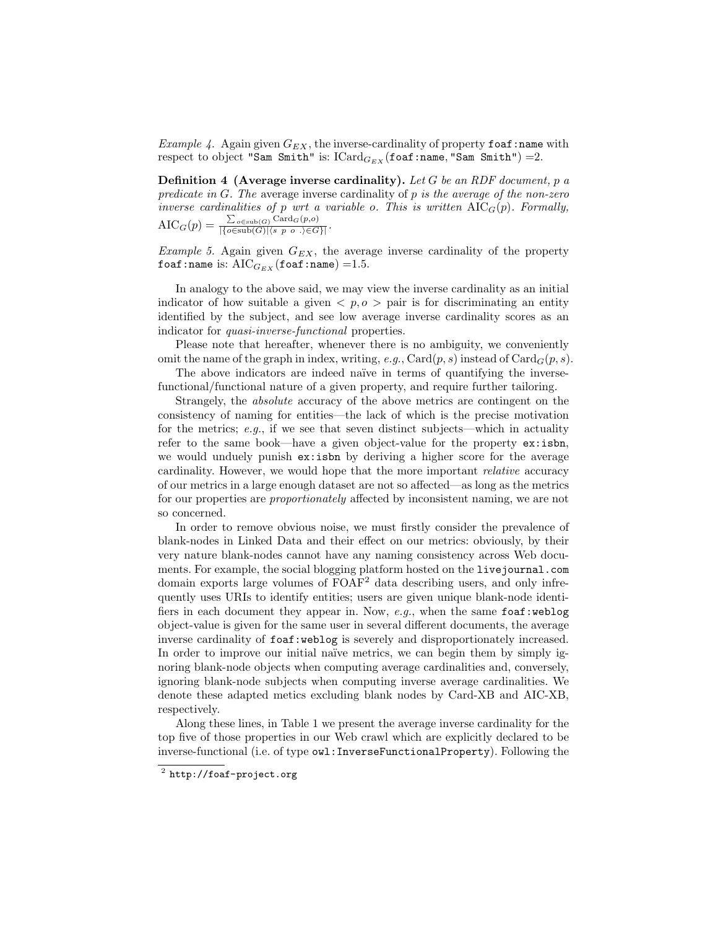Example 4. Again given  $G_{EX}$ , the inverse-cardinality of property foaf:name with respect to object "Sam Smith" is:  $\text{Card}_{G_{EX}}(\text{foaf:name}, \text{``Sam Smith''}) = 2$ .

**Definition 4 (Average inverse cardinality).** Let  $G$  be an RDF document,  $p$  a predicate in  $G$ . The average inverse cardinality of p is the average of the non-zero inverse cardinalities of p wrt a variable o. This is written  $\text{AIC}_G(p)$ . Formally,  $\text{AIC}_G(p) = \frac{\sum_{o \in \text{sub}(G)} \text{Card}_G(p,o)}{\left|\{o \in \text{sub}(G) | \langle s, p \mid o \rangle, \in G\} \right|}.$ 

*Example 5.* Again given  $G_{EX}$ , the average inverse cardinality of the property foaf:name is:  $\text{AIC}_{G_{EX}}(\text{foaf:name}) = 1.5$ .

In analogy to the above said, we may view the inverse cardinality as an initial indicator of how suitable a given  $\langle p, \rho \rangle$  pair is for discriminating an entity identified by the subject, and see low average inverse cardinality scores as an indicator for *quasi-inverse-functional* properties.

Please note that hereafter, whenever there is no ambiguity, we conveniently omit the name of the graph in index, writing, e.g., Card $(p, s)$  instead of Card $_G(p, s)$ .

The above indicators are indeed naïve in terms of quantifying the inversefunctional/functional nature of a given property, and require further tailoring.

Strangely, the absolute accuracy of the above metrics are contingent on the consistency of naming for entities—the lack of which is the precise motivation for the metrics; e.g., if we see that seven distinct subjects—which in actuality refer to the same book—have a given object-value for the property ex:isbn, we would unduely punish ex:isbn by deriving a higher score for the average cardinality. However, we would hope that the more important relative accuracy of our metrics in a large enough dataset are not so affected—as long as the metrics for our properties are proportionately affected by inconsistent naming, we are not so concerned.

In order to remove obvious noise, we must firstly consider the prevalence of blank-nodes in Linked Data and their effect on our metrics: obviously, by their very nature blank-nodes cannot have any naming consistency across Web documents. For example, the social blogging platform hosted on the livejournal.com domain exports large volumes of FOAF<sup>2</sup> data describing users, and only infrequently uses URIs to identify entities; users are given unique blank-node identifiers in each document they appear in. Now,  $e.g.,$  when the same foaf:weblog object-value is given for the same user in several different documents, the average inverse cardinality of foaf:weblog is severely and disproportionately increased. In order to improve our initial naïve metrics, we can begin them by simply ignoring blank-node objects when computing average cardinalities and, conversely, ignoring blank-node subjects when computing inverse average cardinalities. We denote these adapted metics excluding blank nodes by Card-XB and AIC-XB, respectively.

Along these lines, in Table 1 we present the average inverse cardinality for the top five of those properties in our Web crawl which are explicitly declared to be inverse-functional (i.e. of type owl:InverseFunctionalProperty). Following the

 $^2$  http://foaf-project.org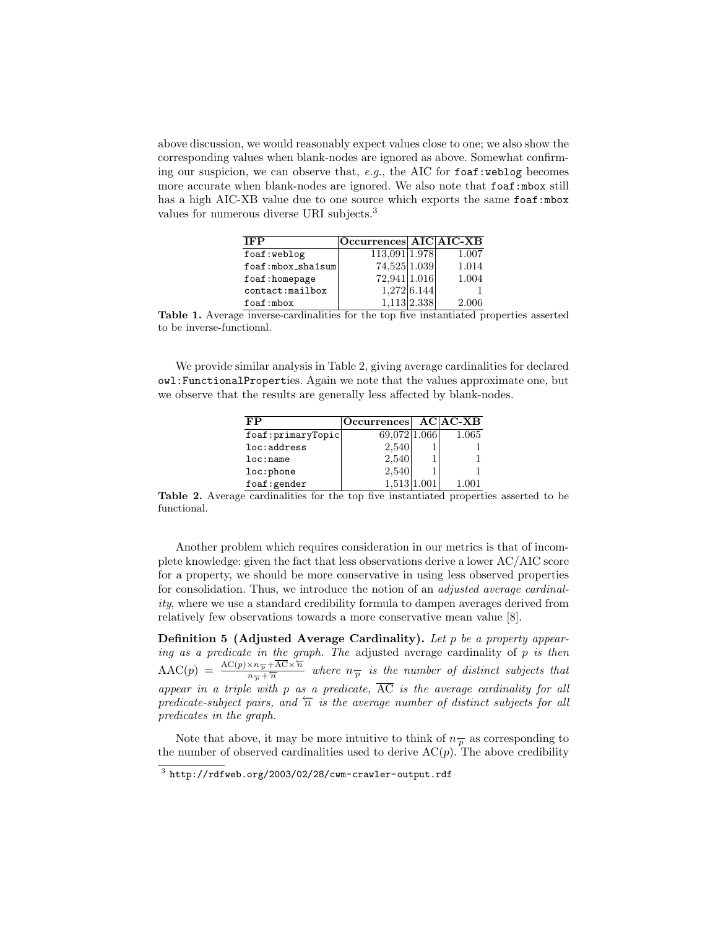above discussion, we would reasonably expect values close to one; we also show the corresponding values when blank-nodes are ignored as above. Somewhat confirming our suspicion, we can observe that,  $e.g.,$  the AIC for  $f \circ af:$ weblog becomes more accurate when blank-nodes are ignored. We also note that  $f$ oaf:mbox still has a high AIC-XB value due to one source which exports the same foaf:mbox values for numerous diverse URI subjects.<sup>3</sup>

| TFP               | Occurrences AIC AIC-XB |                |       |
|-------------------|------------------------|----------------|-------|
| foaf:weblog       | 113,091 1.978          |                | 1.007 |
| foaf:mbox_sha1sum | 74,525 1.039           |                | 1.014 |
| foaf:homepage     | 72,941 1.016           |                | 1.004 |
| contact:mailbox   |                        | 1,272 6.144    |       |
| $f$ oaf:mbox      |                        | $1,113$  2.338 | 2.006 |

Table 1. Average inverse-cardinalities for the top five instantiated properties asserted to be inverse-functional.

We provide similar analysis in Table 2, giving average cardinalities for declared owl:FunctionalProperties. Again we note that the values approximate one, but we observe that the results are generally less affected by blank-nodes.

| FP                | Occurrences AC AC-XB |       |
|-------------------|----------------------|-------|
| foaf:primaryTopic | 69,072 1.066         | 1.065 |
| loc:address       | 2,540                |       |
| loc: name         | 2,540                |       |
| loc:phone         | 2,540                |       |
| foaf: gender      | 1,513 1.001          | 1.001 |

Table 2. Average cardinalities for the top five instantiated properties asserted to be functional.

Another problem which requires consideration in our metrics is that of incomplete knowledge: given the fact that less observations derive a lower AC/AIC score for a property, we should be more conservative in using less observed properties for consolidation. Thus, we introduce the notion of an adjusted average cardinality, where we use a standard credibility formula to dampen averages derived from relatively few observations towards a more conservative mean value [8].

Definition 5 (Adjusted Average Cardinality). Let  $p$  be a property appearing as a predicate in the graph. The adjusted average cardinality of  $p$  is then  $\text{AAC}(p) = \frac{\text{AC}(p) \times n_{\overline{p}} + \overline{\text{AC}} \times \overline{n}}{n_{\overline{p}} + \overline{n}}$  where  $n_{\overline{p}}$  is the number of distinct subjects that appear in a triple with p as a predicate,  $\overline{AC}$  is the average cardinality for all predicate-subject pairs, and  $\overline{n}$  is the average number of distinct subjects for all predicates in the graph.

Note that above, it may be more intuitive to think of  $n_{\overline{p}}$  as corresponding to the number of observed cardinalities used to derive  $AC(p)$ . The above credibility

 $^3$  http://rdfweb.org/2003/02/28/cwm-crawler-output.rdf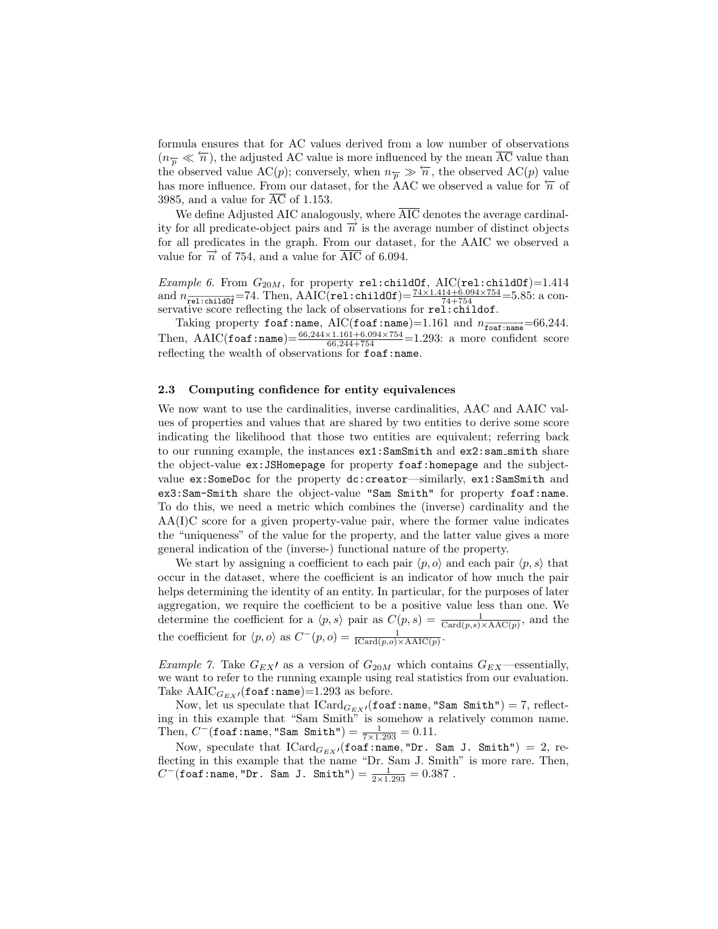formula ensures that for AC values derived from a low number of observations  $(n_{\overline{p}} \ll \overline{n})$ , the adjusted AC value is more influenced by the mean AC value than the observed value AC(p); conversely, when  $n_{\overline{p}} \gg \overline{n}$ , the observed AC(p) value has more influence. From our dataset, for the AAC we observed a value for  $\overleftarrow{n}$  of 3985, and a value for  $\overline{AC}$  of 1.153.

We define Adjusted AIC analogously, where  $\overline{\text{AIC}}$  denotes the average cardinality for all predicate-object pairs and  $\vec{n}$  is the average number of distinct objects for all predicates in the graph. From our dataset, for the AAIC we observed a value for  $\overrightarrow{n}$  of 754, and a value for AIC of 6.094.

*Example 6.* From  $G_{20M}$ , for property rel:childOf, AIC(rel:childOf)=1.414 and  $n_{\overline{rel:childOf}} = 74$ . Then, AAIC(rel:childOf) =  $\frac{74 \times 1.414 + 6.094 \times 754}{74 + 754}$  = 5.85: a conservative score reflecting the lack of observations for rel:childof.

Taking property foaf:name, AIC(foaf:name)=1.161 and  $n_{\overrightarrow{\text{foaf}:\text{name}}}=66{,}244.$ Then, AAIC(foaf:name) =  $\frac{66,244\times1.161+6.094\times754}{66,244+754}$  = 1.293: a more confident score reflecting the wealth of observations for foaf:name.

#### 2.3 Computing confidence for entity equivalences

We now want to use the cardinalities, inverse cardinalities, AAC and AAIC values of properties and values that are shared by two entities to derive some score indicating the likelihood that those two entities are equivalent; referring back to our running example, the instances  $ex1:SamSmith$  and  $ex2:sam Smith$  share the object-value ex:JSHomepage for property foaf:homepage and the subjectvalue ex:SomeDoc for the property dc:creator—similarly, ex1:SamSmith and ex3:Sam-Smith share the object-value "Sam Smith" for property foaf:name. To do this, we need a metric which combines the (inverse) cardinality and the AA(I)C score for a given property-value pair, where the former value indicates the "uniqueness" of the value for the property, and the latter value gives a more general indication of the (inverse-) functional nature of the property.

We start by assigning a coefficient to each pair  $\langle p, o \rangle$  and each pair  $\langle p, s \rangle$  that occur in the dataset, where the coefficient is an indicator of how much the pair helps determining the identity of an entity. In particular, for the purposes of later aggregation, we require the coefficient to be a positive value less than one. We determine the coefficient for a  $\langle p, s \rangle$  pair as  $C(p, s) = \frac{1}{\text{Card}(p, s) \times \text{AAC}(p)}$ , and the the coefficient for  $\langle p, o \rangle$  as  $C^-(p, o) = \frac{1}{\text{ICard}(p, o) \times \text{AAIC}(p)}$ .

*Example 7.* Take  $G_{EX}$  as a version of  $G_{20M}$  which contains  $G_{EX}$ —essentially, we want to refer to the running example using real statistics from our evaluation. Take  $\text{AAIC}_{G_{EX}}$  (foaf:name)=1.293 as before.

Now, let us speculate that  $\textup{ICard}_{G_{EX} \textup{I}}(\textup{\texttt{foaf}}:\textup{\texttt{name}},\textup{\texttt{``Sam Smith''}}) = 7, \textup{reflect}$ ing in this example that "Sam Smith" is somehow a relatively common name. Then,  $C^-$  (foaf:name, "Sam Smith") =  $\frac{1}{7 \times 1.293} = 0.11$ .

Now, speculate that  $\text{ICard}_{G_{EX}}(f\text{oaf:name}, "Dr. Sam J. Smith") = 2$ , reflecting in this example that the name "Dr. Sam J. Smith" is more rare. Then,  $C^-$ (foaf:name,"Dr. Sam J. Smith") =  $\frac{1}{2 \times 1.293} = 0.387$ .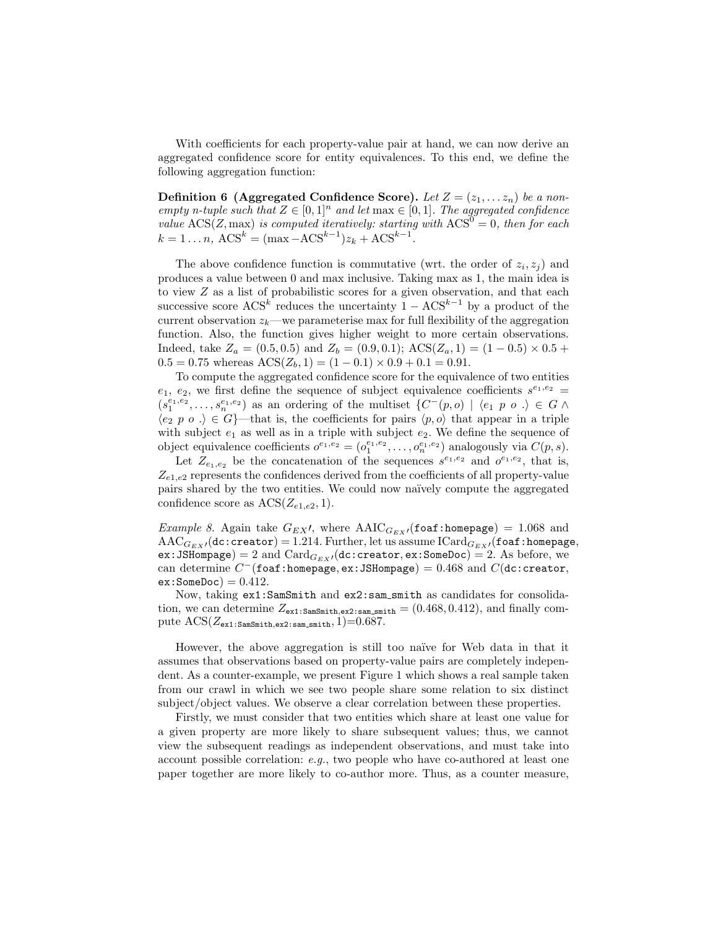With coefficients for each property-value pair at hand, we can now derive an aggregated confidence score for entity equivalences. To this end, we define the following aggregation function:

**Definition 6 (Aggregated Confidence Score).** Let  $Z = (z_1, \ldots, z_n)$  be a nonempty n-tuple such that  $Z \in [0,1]^n$  and let  $\max \in [0,1]$ . The aggregated confidence value  $\text{ACS}(Z, \text{max})$  is computed iteratively: starting with  $\text{ACS}^0 = 0$ , then for each  $k = 1...n$ ,  $ACS^k = (\max - ACS^{k-1})z_k + ACS^{k-1}$ .

The above confidence function is commutative (wrt. the order of  $z_i, z_j$ ) and produces a value between 0 and max inclusive. Taking max as 1, the main idea is to view Z as a list of probabilistic scores for a given observation, and that each successive score  $\text{ACS}^k$  reduces the uncertainty  $1 - \text{ACS}^{k-1}$  by a product of the current observation  $z_k$ —we parameterise max for full flexibility of the aggregation function. Also, the function gives higher weight to more certain observations. Indeed, take  $Z_a = (0.5, 0.5)$  and  $Z_b = (0.9, 0.1)$ ;  $\text{ACS}(Z_a, 1) = (1 - 0.5) \times 0.5 +$  $0.5 = 0.75$  whereas  $\text{ACS}(Z_b, 1) = (1 - 0.1) \times 0.9 + 0.1 = 0.91$ .

To compute the aggregated confidence score for the equivalence of two entities  $e_1, e_2$ , we first define the sequence of subject equivalence coefficients  $s^{e_1,e_2}$  =  $(s_1^{e_1,e_2},\ldots,s_n^{e_1,e_2})$  as an ordering of the multiset  $\{C^-(p,o) \mid \langle e_1 p o \rangle \in G \land$  $\langle e_2 p o \rangle \in G$  that is, the coefficients for pairs  $\langle p, o \rangle$  that appear in a triple with subject  $e_1$  as well as in a triple with subject  $e_2$ . We define the sequence of object equivalence coefficients  $o^{e_1,e_2} = (o_1^{e_1,e_2}, \ldots, o_n^{e_1,e_2})$  analogously via  $C(p,s)$ .

Let  $Z_{e_1,e_2}$  be the concatenation of the sequences  $s^{e_1,e_2}$  and  $o^{e_1,e_2}$ , that is,  $Z_{e1,e2}$  represents the confidences derived from the coefficients of all property-value pairs shared by the two entities. We could now na¨ıvely compute the aggregated confidence score as  $\text{ACS}(Z_{e1,e2}, 1)$ .

*Example 8.* Again take  $G_{EX}$ , where  $\text{AAIC}_{G_{EX}}$  (foaf:homepage) = 1.068 and  $\text{AAC}_{G_{EX}}(\text{dc:creation}) = 1.214$ . Further, let us assume  $\text{Card}_{G_{EX}}(\text{foaf:homepage},$ ex: JSHompage) = 2 and  $Card_{G_{EX}}$ /(dc:creator, ex:SomeDoc) = 2. As before, we can determine  $C^-$ (foaf:homepage, ex:JSHompage) = 0.468 and  $C$ (dc:creator,  $ex:SomeDoc = 0.412.$ 

Now, taking  $ex1:SamSmith$  and  $ex2:sam Smith$  as candidates for consolidation, we can determine  $Z_{\text{ext}}$ : $\text{Sams}_{\text{mit},\text{ex2:sam}}$  smith = (0.468, 0.412), and finally compute  $\text{ACS}(Z_{\text{ex1:SamSmith,ex2:samSmith}}, 1) = 0.687$ .

However, the above aggregation is still too naïve for Web data in that it assumes that observations based on property-value pairs are completely independent. As a counter-example, we present Figure 1 which shows a real sample taken from our crawl in which we see two people share some relation to six distinct subject/object values. We observe a clear correlation between these properties.

Firstly, we must consider that two entities which share at least one value for a given property are more likely to share subsequent values; thus, we cannot view the subsequent readings as independent observations, and must take into account possible correlation:  $e.g.,$  two people who have co-authored at least one paper together are more likely to co-author more. Thus, as a counter measure,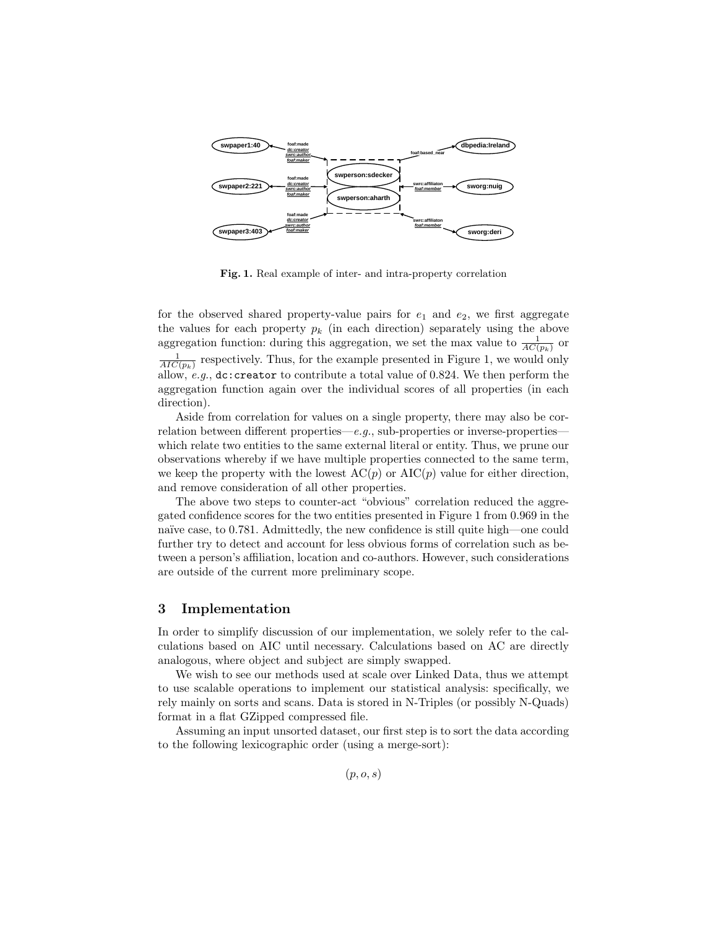

Fig. 1. Real example of inter- and intra-property correlation

for the observed shared property-value pairs for  $e_1$  and  $e_2$ , we first aggregate the values for each property  $p_k$  (in each direction) separately using the above aggregation function: during this aggregation, we set the max value to  $\frac{1}{AC(p_k)}$  or  $\frac{1}{AIC(p_k)}$  respectively. Thus, for the example presented in Figure 1, we would only allow, e.g., dc:creator to contribute a total value of 0.824. We then perform the aggregation function again over the individual scores of all properties (in each direction).

Aside from correlation for values on a single property, there may also be correlation between different properties—e.g., sub-properties or inverse-properties which relate two entities to the same external literal or entity. Thus, we prune our observations whereby if we have multiple properties connected to the same term, we keep the property with the lowest  $AC(p)$  or  $AIC(p)$  value for either direction, and remove consideration of all other properties.

The above two steps to counter-act "obvious" correlation reduced the aggregated confidence scores for the two entities presented in Figure 1 from 0.969 in the naïve case, to 0.781. Admittedly, the new confidence is still quite high—one could further try to detect and account for less obvious forms of correlation such as between a person's affiliation, location and co-authors. However, such considerations are outside of the current more preliminary scope.

## 3 Implementation

In order to simplify discussion of our implementation, we solely refer to the calculations based on AIC until necessary. Calculations based on AC are directly analogous, where object and subject are simply swapped.

We wish to see our methods used at scale over Linked Data, thus we attempt to use scalable operations to implement our statistical analysis: specifically, we rely mainly on sorts and scans. Data is stored in N-Triples (or possibly N-Quads) format in a flat GZipped compressed file.

Assuming an input unsorted dataset, our first step is to sort the data according to the following lexicographic order (using a merge-sort):

 $(p, o, s)$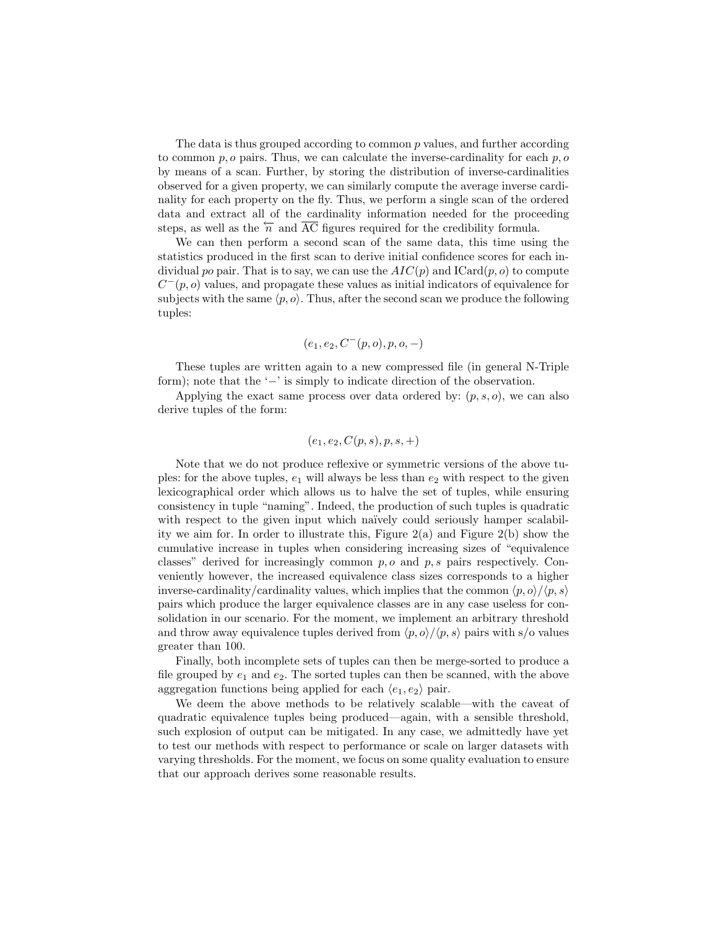The data is thus grouped according to common p values, and further according to common  $p, o$  pairs. Thus, we can calculate the inverse-cardinality for each  $p, o$ by means of a scan. Further, by storing the distribution of inverse-cardinalities observed for a given property, we can similarly compute the average inverse cardinality for each property on the fly. Thus, we perform a single scan of the ordered data and extract all of the cardinality information needed for the proceeding steps, as well as the  $\overleftarrow{n}$  and  $\overrightarrow{AC}$  figures required for the credibility formula.

We can then perform a second scan of the same data, this time using the statistics produced in the first scan to derive initial confidence scores for each individual po pair. That is to say, we can use the  $AIC(p)$  and  $\text{ICard}(p, o)$  to compute  $C^-(p, o)$  values, and propagate these values as initial indicators of equivalence for subjects with the same  $\langle p, o \rangle$ . Thus, after the second scan we produce the following tuples:

$$
(e_1, e_2, C^-(p, o), p, o, -)
$$

These tuples are written again to a new compressed file (in general N-Triple form); note that the '−' is simply to indicate direction of the observation.

Applying the exact same process over data ordered by:  $(p, s, o)$ , we can also derive tuples of the form:

$$
(e_1, e_2, C(p, s), p, s, +)
$$

Note that we do not produce reflexive or symmetric versions of the above tuples: for the above tuples,  $e_1$  will always be less than  $e_2$  with respect to the given lexicographical order which allows us to halve the set of tuples, while ensuring consistency in tuple "naming". Indeed, the production of such tuples is quadratic with respect to the given input which naïvely could seriously hamper scalability we aim for. In order to illustrate this, Figure  $2(a)$  and Figure  $2(b)$  show the cumulative increase in tuples when considering increasing sizes of "equivalence classes" derived for increasingly common  $p, o$  and  $p, s$  pairs respectively. Conveniently however, the increased equivalence class sizes corresponds to a higher inverse-cardinality/cardinality values, which implies that the common  $\langle p, o \rangle / \langle p, s \rangle$ pairs which produce the larger equivalence classes are in any case useless for consolidation in our scenario. For the moment, we implement an arbitrary threshold and throw away equivalence tuples derived from  $\langle p, o \rangle / \langle p, s \rangle$  pairs with s/o values greater than 100.

Finally, both incomplete sets of tuples can then be merge-sorted to produce a file grouped by  $e_1$  and  $e_2$ . The sorted tuples can then be scanned, with the above aggregation functions being applied for each  $\langle e_1, e_2 \rangle$  pair.

We deem the above methods to be relatively scalable—with the caveat of quadratic equivalence tuples being produced—again, with a sensible threshold, such explosion of output can be mitigated. In any case, we admittedly have yet to test our methods with respect to performance or scale on larger datasets with varying thresholds. For the moment, we focus on some quality evaluation to ensure that our approach derives some reasonable results.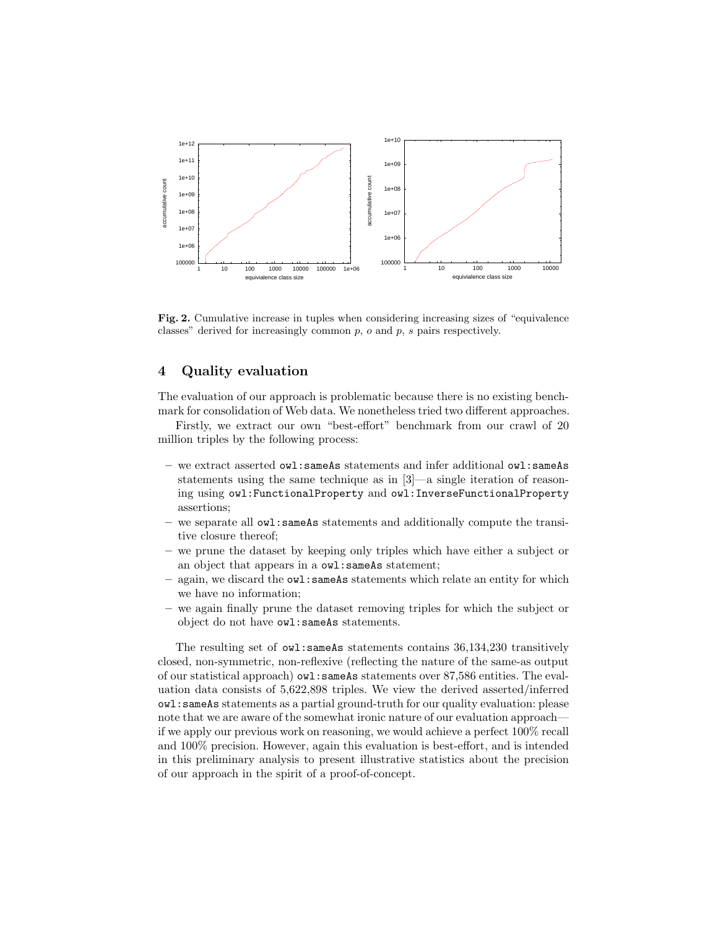

Fig. 2. Cumulative increase in tuples when considering increasing sizes of "equivalence classes" derived for increasingly common  $p$ ,  $o$  and  $p$ ,  $s$  pairs respectively.

## 4 Quality evaluation

The evaluation of our approach is problematic because there is no existing benchmark for consolidation of Web data. We nonetheless tried two different approaches.

Firstly, we extract our own "best-effort" benchmark from our crawl of 20 million triples by the following process:

- we extract asserted owl:sameAs statements and infer additional owl:sameAs statements using the same technique as in [3]—a single iteration of reasoning using owl:FunctionalProperty and owl:InverseFunctionalProperty assertions;
- we separate all owl:sameAs statements and additionally compute the transitive closure thereof;
- we prune the dataset by keeping only triples which have either a subject or an object that appears in a owl:sameAs statement;
- again, we discard the owl:sameAs statements which relate an entity for which we have no information;
- we again finally prune the dataset removing triples for which the subject or object do not have owl:sameAs statements.

The resulting set of owl:sameAs statements contains 36,134,230 transitively closed, non-symmetric, non-reflexive (reflecting the nature of the same-as output of our statistical approach) owl:sameAs statements over 87,586 entities. The evaluation data consists of 5,622,898 triples. We view the derived asserted/inferred owl:sameAs statements as a partial ground-truth for our quality evaluation: please note that we are aware of the somewhat ironic nature of our evaluation approach if we apply our previous work on reasoning, we would achieve a perfect 100% recall and 100% precision. However, again this evaluation is best-effort, and is intended in this preliminary analysis to present illustrative statistics about the precision of our approach in the spirit of a proof-of-concept.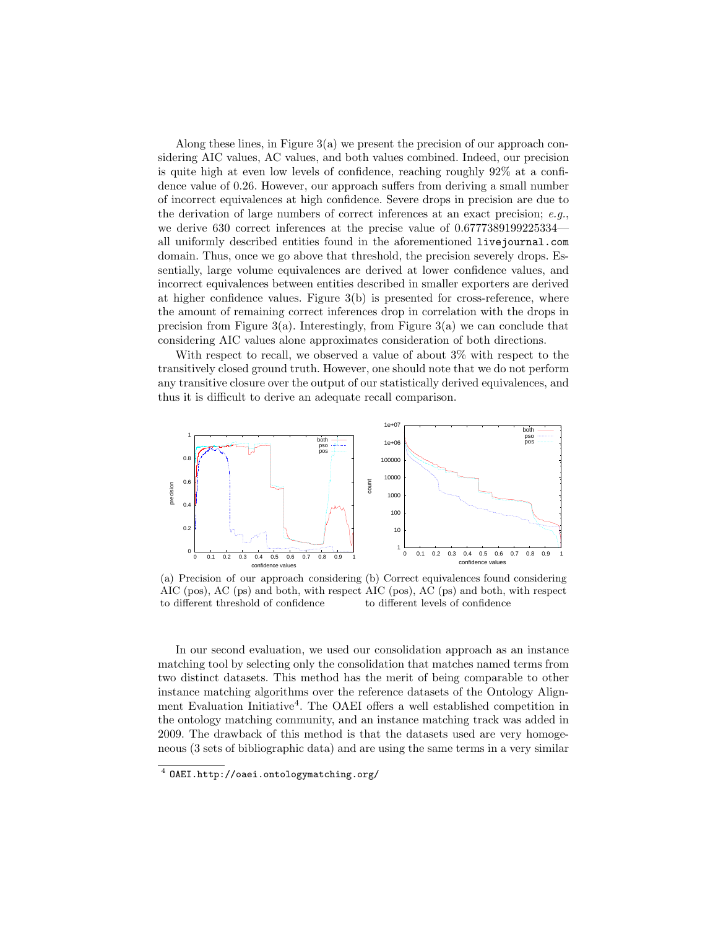Along these lines, in Figure 3(a) we present the precision of our approach considering AIC values, AC values, and both values combined. Indeed, our precision is quite high at even low levels of confidence, reaching roughly 92% at a confidence value of 0.26. However, our approach suffers from deriving a small number of incorrect equivalences at high confidence. Severe drops in precision are due to the derivation of large numbers of correct inferences at an exact precision; e.g., we derive 630 correct inferences at the precise value of 0.6777389199225334 all uniformly described entities found in the aforementioned livejournal.com domain. Thus, once we go above that threshold, the precision severely drops. Essentially, large volume equivalences are derived at lower confidence values, and incorrect equivalences between entities described in smaller exporters are derived at higher confidence values. Figure 3(b) is presented for cross-reference, where the amount of remaining correct inferences drop in correlation with the drops in precision from Figure  $3(a)$ . Interestingly, from Figure  $3(a)$  we can conclude that considering AIC values alone approximates consideration of both directions.

With respect to recall, we observed a value of about 3% with respect to the transitively closed ground truth. However, one should note that we do not perform any transitive closure over the output of our statistically derived equivalences, and thus it is difficult to derive an adequate recall comparison.



(a) Precision of our approach considering (b) Correct equivalences found considering AIC (pos), AC (ps) and both, with respect AIC (pos), AC (ps) and both, with respect to different threshold of confidence to different levels of confidence

In our second evaluation, we used our consolidation approach as an instance matching tool by selecting only the consolidation that matches named terms from two distinct datasets. This method has the merit of being comparable to other instance matching algorithms over the reference datasets of the Ontology Alignment Evaluation Initiative<sup>4</sup>. The OAEI offers a well established competition in the ontology matching community, and an instance matching track was added in 2009. The drawback of this method is that the datasets used are very homogeneous (3 sets of bibliographic data) and are using the same terms in a very similar

<sup>4</sup> OAEI.http://oaei.ontologymatching.org/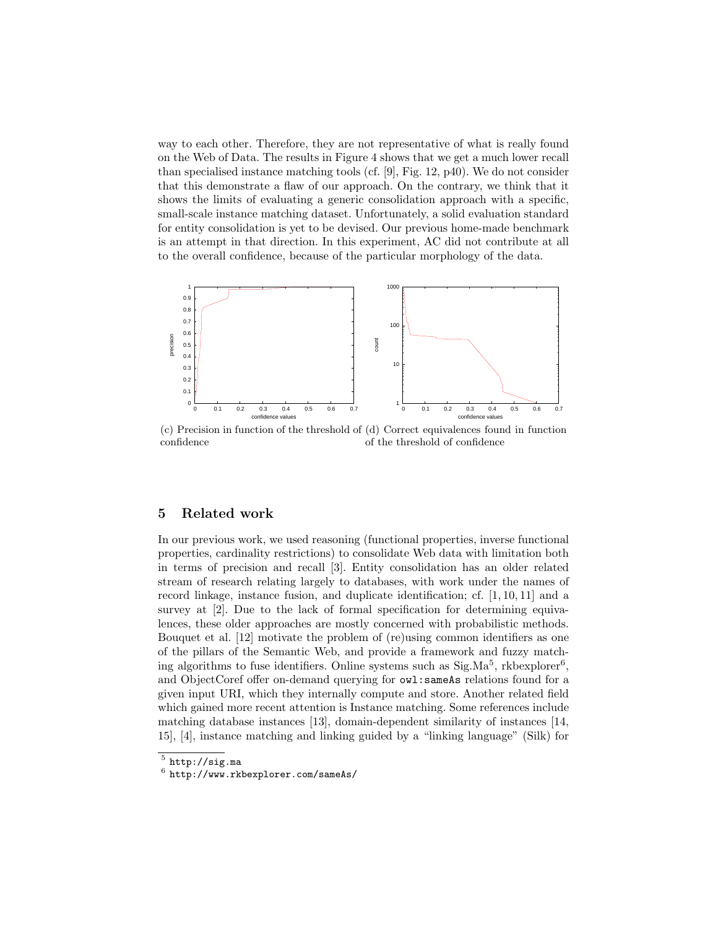way to each other. Therefore, they are not representative of what is really found on the Web of Data. The results in Figure 4 shows that we get a much lower recall than specialised instance matching tools (cf. [9], Fig. 12, p40). We do not consider that this demonstrate a flaw of our approach. On the contrary, we think that it shows the limits of evaluating a generic consolidation approach with a specific, small-scale instance matching dataset. Unfortunately, a solid evaluation standard for entity consolidation is yet to be devised. Our previous home-made benchmark is an attempt in that direction. In this experiment, AC did not contribute at all to the overall confidence, because of the particular morphology of the data.



(c) Precision in function of the threshold of (d) Correct equivalences found in function confidence of the threshold of confidence

#### 5 Related work

In our previous work, we used reasoning (functional properties, inverse functional properties, cardinality restrictions) to consolidate Web data with limitation both in terms of precision and recall [3]. Entity consolidation has an older related stream of research relating largely to databases, with work under the names of record linkage, instance fusion, and duplicate identification; cf. [1, 10, 11] and a survey at [2]. Due to the lack of formal specification for determining equivalences, these older approaches are mostly concerned with probabilistic methods. Bouquet et al. [12] motivate the problem of (re)using common identifiers as one of the pillars of the Semantic Web, and provide a framework and fuzzy matching algorithms to fuse identifiers. Online systems such as  $Sig.Ma<sup>5</sup>$ , rkbexplorer<sup>6</sup>, and ObjectCoref offer on-demand querying for owl:sameAs relations found for a given input URI, which they internally compute and store. Another related field which gained more recent attention is Instance matching. Some references include matching database instances [13], domain-dependent similarity of instances [14, 15], [4], instance matching and linking guided by a "linking language" (Silk) for

 $^5$  http://sig.ma

 $^6$  http://www.rkbexplorer.com/sameAs/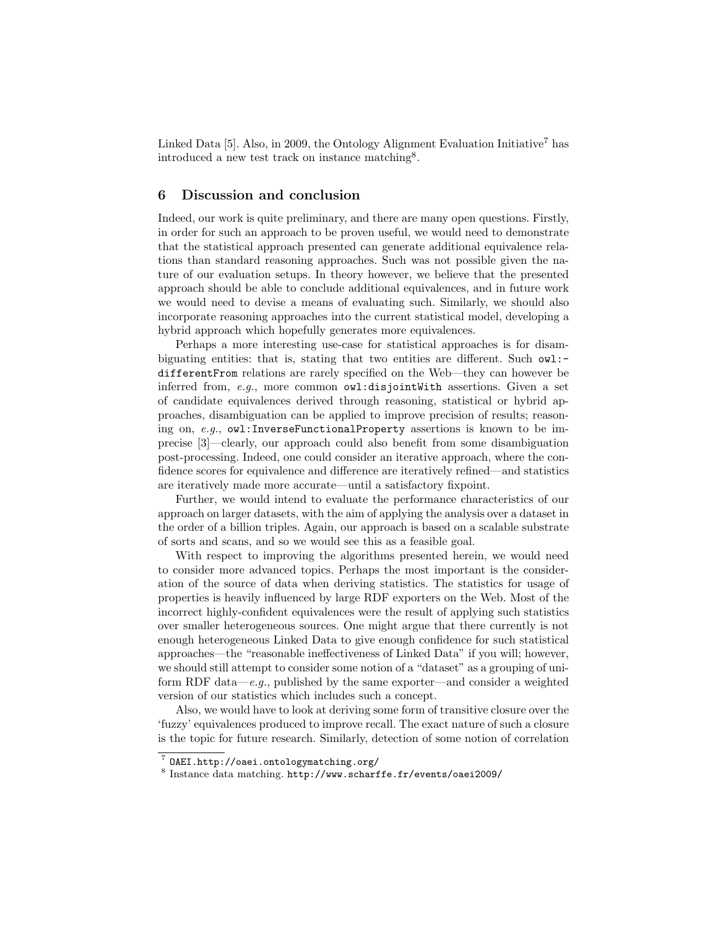Linked Data [5]. Also, in 2009, the Ontology Alignment Evaluation Initiative<sup>7</sup> has introduced a new test track on instance matching<sup>8</sup> .

#### 6 Discussion and conclusion

Indeed, our work is quite preliminary, and there are many open questions. Firstly, in order for such an approach to be proven useful, we would need to demonstrate that the statistical approach presented can generate additional equivalence relations than standard reasoning approaches. Such was not possible given the nature of our evaluation setups. In theory however, we believe that the presented approach should be able to conclude additional equivalences, and in future work we would need to devise a means of evaluating such. Similarly, we should also incorporate reasoning approaches into the current statistical model, developing a hybrid approach which hopefully generates more equivalences.

Perhaps a more interesting use-case for statistical approaches is for disambiguating entities: that is, stating that two entities are different. Such  $\alpha$ ul: differentFrom relations are rarely specified on the Web—they can however be inferred from, e.g., more common  $\text{owl:disjointWith}$  assertions. Given a set of candidate equivalences derived through reasoning, statistical or hybrid approaches, disambiguation can be applied to improve precision of results; reasoning on, e.g., owl:InverseFunctionalProperty assertions is known to be imprecise [3]—clearly, our approach could also benefit from some disambiguation post-processing. Indeed, one could consider an iterative approach, where the confidence scores for equivalence and difference are iteratively refined—and statistics are iteratively made more accurate—until a satisfactory fixpoint.

Further, we would intend to evaluate the performance characteristics of our approach on larger datasets, with the aim of applying the analysis over a dataset in the order of a billion triples. Again, our approach is based on a scalable substrate of sorts and scans, and so we would see this as a feasible goal.

With respect to improving the algorithms presented herein, we would need to consider more advanced topics. Perhaps the most important is the consideration of the source of data when deriving statistics. The statistics for usage of properties is heavily influenced by large RDF exporters on the Web. Most of the incorrect highly-confident equivalences were the result of applying such statistics over smaller heterogeneous sources. One might argue that there currently is not enough heterogeneous Linked Data to give enough confidence for such statistical approaches—the "reasonable ineffectiveness of Linked Data" if you will; however, we should still attempt to consider some notion of a "dataset" as a grouping of uniform RDF data—e.g., published by the same exporter—and consider a weighted version of our statistics which includes such a concept.

Also, we would have to look at deriving some form of transitive closure over the 'fuzzy' equivalences produced to improve recall. The exact nature of such a closure is the topic for future research. Similarly, detection of some notion of correlation

<sup>7</sup> OAEI.http://oaei.ontologymatching.org/

<sup>8</sup> Instance data matching. http://www.scharffe.fr/events/oaei2009/